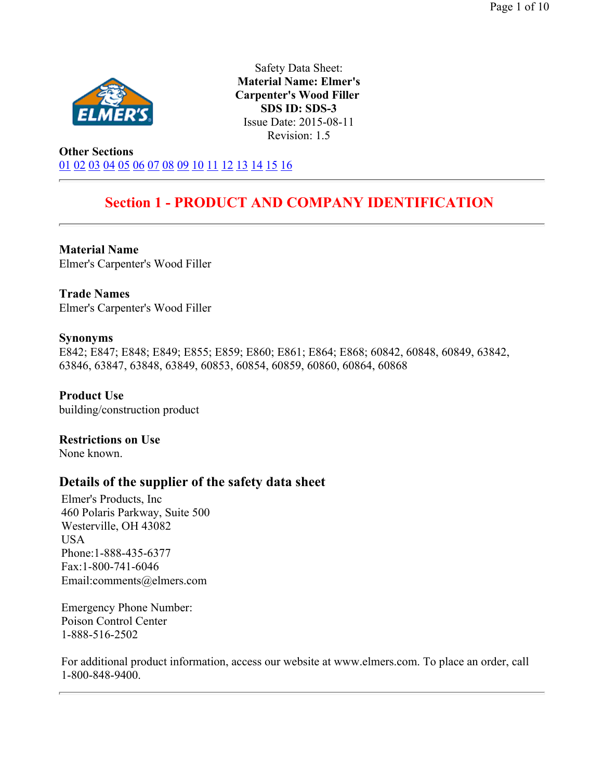

Safety Data Sheet: **Material Name: Elmer's Carpenter's Wood Filler SDS ID: SDS-3** Issue Date: 2015-08-11 Revision: 1.5

**Other Sections** 01 02 03 04 05 06 07 08 09 10 11 12 13 14 15 16

# **Section 1 - PRODUCT AND COMPANY IDENTIFICATION**

**Material Name**  Elmer's Carpenter's Wood Filler

**Trade Names**  Elmer's Carpenter's Wood Filler

#### **Synonyms**

E842; E847; E848; E849; E855; E859; E860; E861; E864; E868; 60842, 60848, 60849, 63842, 63846, 63847, 63848, 63849, 60853, 60854, 60859, 60860, 60864, 60868

**Product Use**  building/construction product

**Restrictions on Use**  None known.

## **Details of the supplier of the safety data sheet**

Elmer's Products, Inc 460 Polaris Parkway, Suite 500 Westerville, OH 43082 USA Phone:1-888-435-6377 Fax:1-800-741-6046 Email:comments@elmers.com

Emergency Phone Number: Poison Control Center 1-888-516-2502

For additional product information, access our website at www.elmers.com. To place an order, call 1-800-848-9400.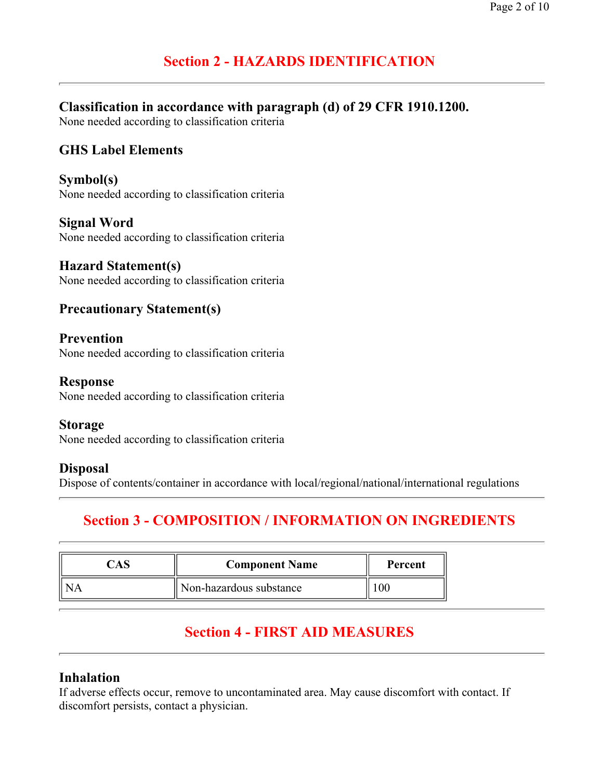# **Section 2 - HAZARDS IDENTIFICATION**

# **Classification in accordance with paragraph (d) of 29 CFR 1910.1200.**

None needed according to classification criteria

# **GHS Label Elements**

**Symbol(s)**  None needed according to classification criteria

**Signal Word**  None needed according to classification criteria

**Hazard Statement(s)**  None needed according to classification criteria

## **Precautionary Statement(s)**

#### **Prevention**

None needed according to classification criteria

#### **Response**

None needed according to classification criteria

#### **Storage**

None needed according to classification criteria

#### **Disposal**

Dispose of contents/container in accordance with local/regional/national/international regulations

# **Section 3 - COMPOSITION / INFORMATION ON INGREDIENTS**

| A. | <b>Component Name</b>   | Percent |  |
|----|-------------------------|---------|--|
|    | Non-hazardous substance |         |  |

# **Section 4 - FIRST AID MEASURES**

## **Inhalation**

If adverse effects occur, remove to uncontaminated area. May cause discomfort with contact. If discomfort persists, contact a physician.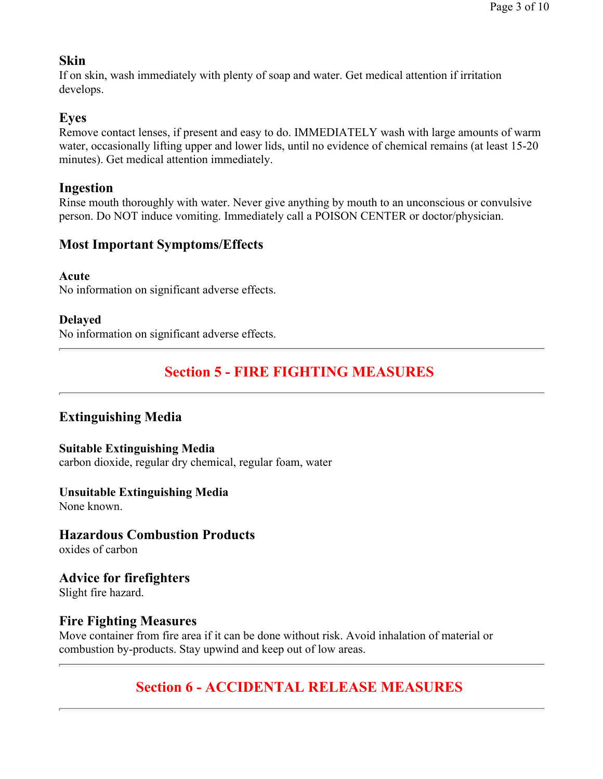## **Skin**

If on skin, wash immediately with plenty of soap and water. Get medical attention if irritation develops.

## **Eyes**

Remove contact lenses, if present and easy to do. IMMEDIATELY wash with large amounts of warm water, occasionally lifting upper and lower lids, until no evidence of chemical remains (at least 15-20 minutes). Get medical attention immediately.

## **Ingestion**

Rinse mouth thoroughly with water. Never give anything by mouth to an unconscious or convulsive person. Do NOT induce vomiting. Immediately call a POISON CENTER or doctor/physician.

# **Most Important Symptoms/Effects**

**Acute** 

No information on significant adverse effects.

## **Delayed**

No information on significant adverse effects.

# **Section 5 - FIRE FIGHTING MEASURES**

# **Extinguishing Media**

#### **Suitable Extinguishing Media**

carbon dioxide, regular dry chemical, regular foam, water

#### **Unsuitable Extinguishing Media**

None known.

# **Hazardous Combustion Products**

oxides of carbon

# **Advice for firefighters**

Slight fire hazard.

## **Fire Fighting Measures**

Move container from fire area if it can be done without risk. Avoid inhalation of material or combustion by-products. Stay upwind and keep out of low areas.

# **Section 6 - ACCIDENTAL RELEASE MEASURES**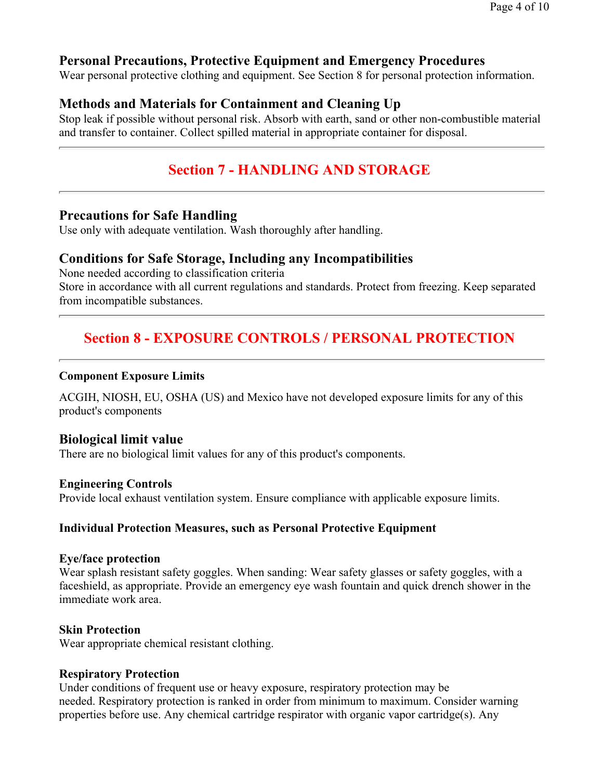## **Personal Precautions, Protective Equipment and Emergency Procedures**

Wear personal protective clothing and equipment. See Section 8 for personal protection information.

## **Methods and Materials for Containment and Cleaning Up**

Stop leak if possible without personal risk. Absorb with earth, sand or other non-combustible material and transfer to container. Collect spilled material in appropriate container for disposal.

# **Section 7 - HANDLING AND STORAGE**

## **Precautions for Safe Handling**

Use only with adequate ventilation. Wash thoroughly after handling.

#### **Conditions for Safe Storage, Including any Incompatibilities**

None needed according to classification criteria Store in accordance with all current regulations and standards. Protect from freezing. Keep separated from incompatible substances.

# **Section 8 - EXPOSURE CONTROLS / PERSONAL PROTECTION**

#### **Component Exposure Limits**

ACGIH, NIOSH, EU, OSHA (US) and Mexico have not developed exposure limits for any of this product's components

#### **Biological limit value**

There are no biological limit values for any of this product's components.

#### **Engineering Controls**

Provide local exhaust ventilation system. Ensure compliance with applicable exposure limits.

#### **Individual Protection Measures, such as Personal Protective Equipment**

#### **Eye/face protection**

Wear splash resistant safety goggles. When sanding: Wear safety glasses or safety goggles, with a faceshield, as appropriate. Provide an emergency eye wash fountain and quick drench shower in the immediate work area.

#### **Skin Protection**

Wear appropriate chemical resistant clothing.

#### **Respiratory Protection**

Under conditions of frequent use or heavy exposure, respiratory protection may be needed. Respiratory protection is ranked in order from minimum to maximum. Consider warning properties before use. Any chemical cartridge respirator with organic vapor cartridge(s). Any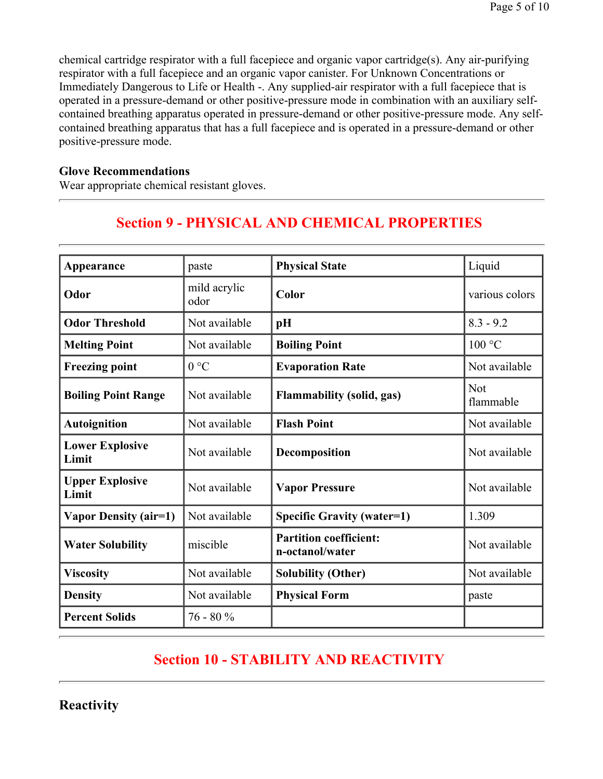chemical cartridge respirator with a full facepiece and organic vapor cartridge(s). Any air-purifying respirator with a full facepiece and an organic vapor canister. For Unknown Concentrations or Immediately Dangerous to Life or Health -. Any supplied-air respirator with a full facepiece that is operated in a pressure-demand or other positive-pressure mode in combination with an auxiliary selfcontained breathing apparatus operated in pressure-demand or other positive-pressure mode. Any selfcontained breathing apparatus that has a full facepiece and is operated in a pressure-demand or other positive-pressure mode.

#### **Glove Recommendations**

Wear appropriate chemical resistant gloves.

# **Section 9 - PHYSICAL AND CHEMICAL PROPERTIES**

| Appearance                      | paste                | <b>Physical State</b>                            | Liquid           |
|---------------------------------|----------------------|--------------------------------------------------|------------------|
| Odor                            | mild acrylic<br>odor | Color                                            | various colors   |
| <b>Odor Threshold</b>           | Not available        | pH                                               | $8.3 - 9.2$      |
| <b>Melting Point</b>            | Not available        | <b>Boiling Point</b>                             | 100 °C           |
| <b>Freezing point</b>           | 0 °C                 | <b>Evaporation Rate</b>                          | Not available    |
| <b>Boiling Point Range</b>      | Not available        | <b>Flammability (solid, gas)</b>                 | Not<br>flammable |
| <b>Autoignition</b>             | Not available        | <b>Flash Point</b>                               | Not available    |
| <b>Lower Explosive</b><br>Limit | Not available        | Decomposition                                    | Not available    |
| <b>Upper Explosive</b><br>Limit | Not available        | <b>Vapor Pressure</b>                            | Not available    |
| <b>Vapor Density (air=1)</b>    | Not available        | <b>Specific Gravity (water=1)</b>                | 1.309            |
| <b>Water Solubility</b>         | miscible             | <b>Partition coefficient:</b><br>n-octanol/water | Not available    |
| <b>Viscosity</b>                | Not available        | <b>Solubility (Other)</b>                        | Not available    |
| <b>Density</b>                  | Not available        | <b>Physical Form</b>                             | paste            |
| <b>Percent Solids</b>           | $76 - 80%$           |                                                  |                  |

# **Section 10 - STABILITY AND REACTIVITY**

**Reactivity**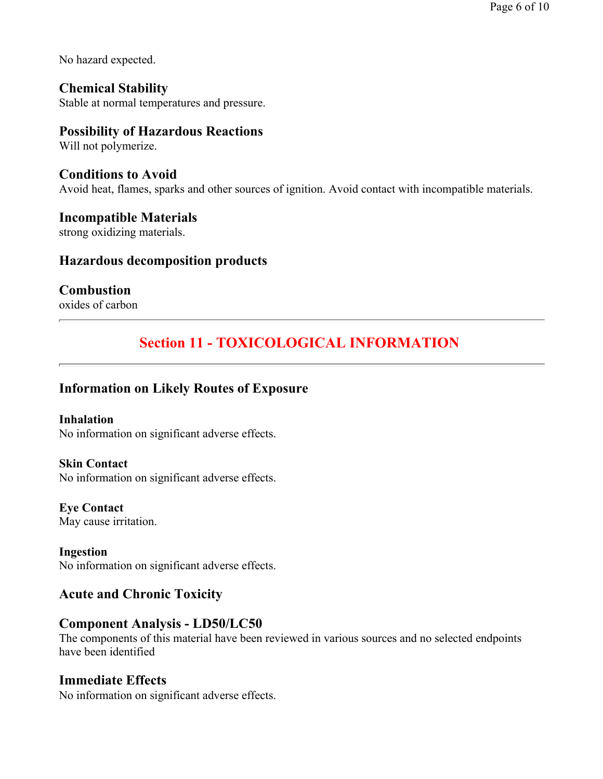No hazard expected.

**Chemical Stability**  Stable at normal temperatures and pressure.

### **Possibility of Hazardous Reactions**

Will not polymerize.

**Conditions to Avoid**  Avoid heat, flames, sparks and other sources of ignition. Avoid contact with incompatible materials.

## **Incompatible Materials**

strong oxidizing materials.

### **Hazardous decomposition products**

## **Combustion**

oxides of carbon

# **Section 11 - TOXICOLOGICAL INFORMATION**

## **Information on Likely Routes of Exposure**

**Inhalation**  No information on significant adverse effects.

**Skin Contact** 

No information on significant adverse effects.

**Eye Contact**  May cause irritation.

**Ingestion**  No information on significant adverse effects.

## **Acute and Chronic Toxicity**

## **Component Analysis - LD50/LC50**

The components of this material have been reviewed in various sources and no selected endpoints have been identified

## **Immediate Effects**

No information on significant adverse effects.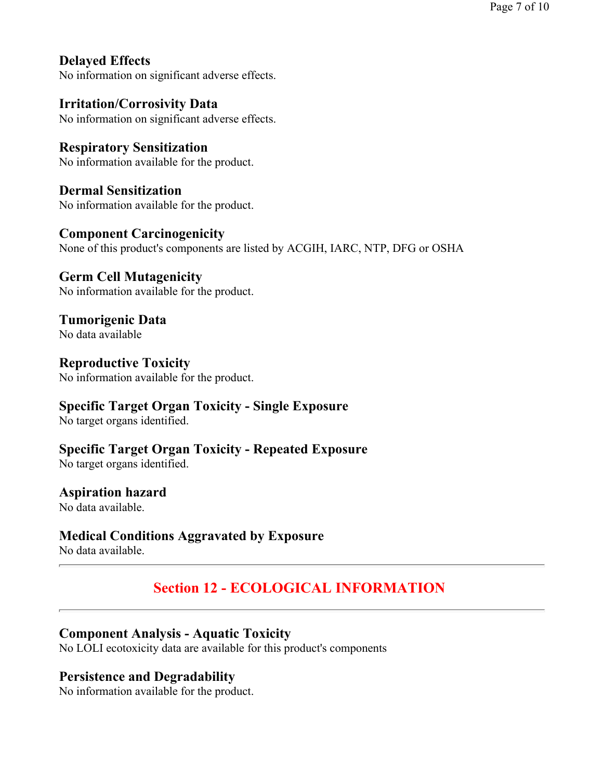**Delayed Effects**  No information on significant adverse effects.

**Irritation/Corrosivity Data**  No information on significant adverse effects.

**Respiratory Sensitization**  No information available for the product.

**Dermal Sensitization**  No information available for the product.

**Component Carcinogenicity** None of this product's components are listed by ACGIH, IARC, NTP, DFG or OSHA

**Germ Cell Mutagenicity**  No information available for the product.

**Tumorigenic Data**  No data available

**Reproductive Toxicity**  No information available for the product.

# **Specific Target Organ Toxicity - Single Exposure**

No target organs identified.

**Specific Target Organ Toxicity - Repeated Exposure** 

No target organs identified.

# **Aspiration hazard**

No data available.

# **Medical Conditions Aggravated by Exposure**

No data available.

# **Section 12 - ECOLOGICAL INFORMATION**

# **Component Analysis - Aquatic Toxicity**

No LOLI ecotoxicity data are available for this product's components

# **Persistence and Degradability**

No information available for the product.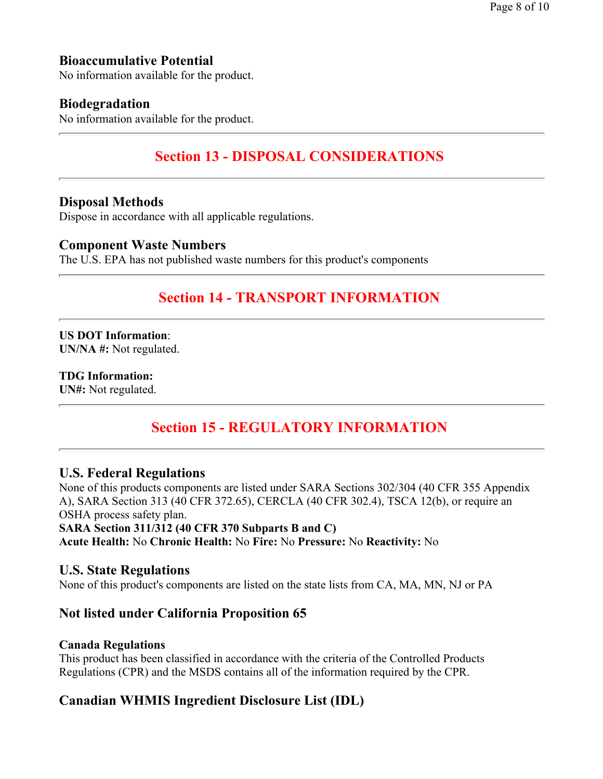# **Bioaccumulative Potential**

No information available for the product.

### **Biodegradation**

No information available for the product.

# **Section 13 - DISPOSAL CONSIDERATIONS**

#### **Disposal Methods**

Dispose in accordance with all applicable regulations.

#### **Component Waste Numbers**

The U.S. EPA has not published waste numbers for this product's components

# **Section 14 - TRANSPORT INFORMATION**

**US DOT Information**: **UN/NA #:** Not regulated.

#### **TDG Information: UN#:** Not regulated.

# **Section 15 - REGULATORY INFORMATION**

#### **U.S. Federal Regulations**

None of this products components are listed under SARA Sections 302/304 (40 CFR 355 Appendix A), SARA Section 313 (40 CFR 372.65), CERCLA (40 CFR 302.4), TSCA 12(b), or require an OSHA process safety plan. **SARA Section 311/312 (40 CFR 370 Subparts B and C) Acute Health:** No **Chronic Health:** No **Fire:** No **Pressure:** No **Reactivity:** No

#### **U.S. State Regulations**

None of this product's components are listed on the state lists from CA, MA, MN, NJ or PA

## **Not listed under California Proposition 65**

#### **Canada Regulations**

This product has been classified in accordance with the criteria of the Controlled Products Regulations (CPR) and the MSDS contains all of the information required by the CPR.

## **Canadian WHMIS Ingredient Disclosure List (IDL)**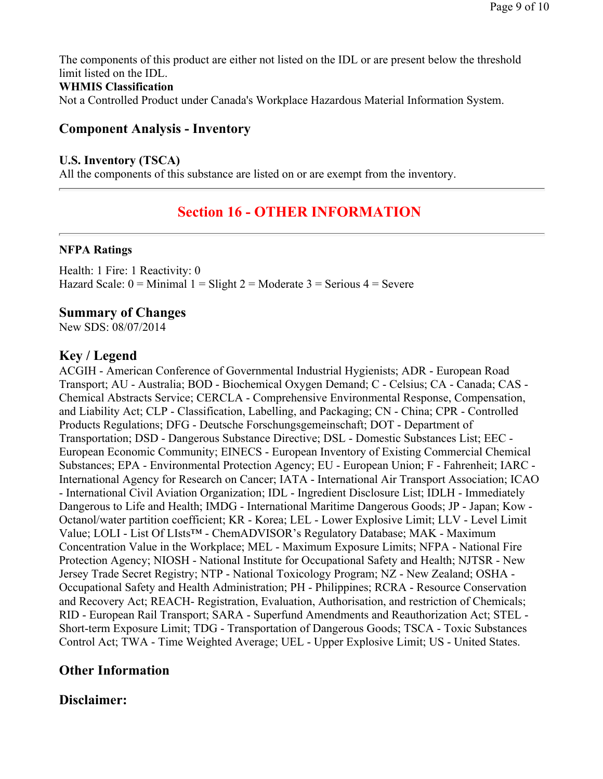The components of this product are either not listed on the IDL or are present below the threshold limit listed on the IDL.

#### **WHMIS Classification**

Not a Controlled Product under Canada's Workplace Hazardous Material Information System.

## **Component Analysis - Inventory**

#### **U.S. Inventory (TSCA)**

All the components of this substance are listed on or are exempt from the inventory.

# **Section 16 - OTHER INFORMATION**

#### **NFPA Ratings**

Health: 1 Fire: 1 Reactivity: 0 Hazard Scale:  $0 =$  Minimal  $1 =$  Slight  $2 =$  Moderate  $3 =$  Serious  $4 =$  Severe

## **Summary of Changes**

New SDS: 08/07/2014

# **Key / Legend**

ACGIH - American Conference of Governmental Industrial Hygienists; ADR - European Road Transport; AU - Australia; BOD - Biochemical Oxygen Demand; C - Celsius; CA - Canada; CAS - Chemical Abstracts Service; CERCLA - Comprehensive Environmental Response, Compensation, and Liability Act; CLP - Classification, Labelling, and Packaging; CN - China; CPR - Controlled Products Regulations; DFG - Deutsche Forschungsgemeinschaft; DOT - Department of Transportation; DSD - Dangerous Substance Directive; DSL - Domestic Substances List; EEC - European Economic Community; EINECS - European Inventory of Existing Commercial Chemical Substances; EPA - Environmental Protection Agency; EU - European Union; F - Fahrenheit; IARC - International Agency for Research on Cancer; IATA - International Air Transport Association; ICAO - International Civil Aviation Organization; IDL - Ingredient Disclosure List; IDLH - Immediately Dangerous to Life and Health; IMDG - International Maritime Dangerous Goods; JP - Japan; Kow - Octanol/water partition coefficient; KR - Korea; LEL - Lower Explosive Limit; LLV - Level Limit Value; LOLI - List Of LIsts™ - ChemADVISOR's Regulatory Database; MAK - Maximum Concentration Value in the Workplace; MEL - Maximum Exposure Limits; NFPA - National Fire Protection Agency; NIOSH - National Institute for Occupational Safety and Health; NJTSR - New Jersey Trade Secret Registry; NTP - National Toxicology Program; NZ - New Zealand; OSHA - Occupational Safety and Health Administration; PH - Philippines; RCRA - Resource Conservation and Recovery Act; REACH- Registration, Evaluation, Authorisation, and restriction of Chemicals; RID - European Rail Transport; SARA - Superfund Amendments and Reauthorization Act; STEL - Short-term Exposure Limit; TDG - Transportation of Dangerous Goods; TSCA - Toxic Substances Control Act; TWA - Time Weighted Average; UEL - Upper Explosive Limit; US - United States.

# **Other Information**

# **Disclaimer:**